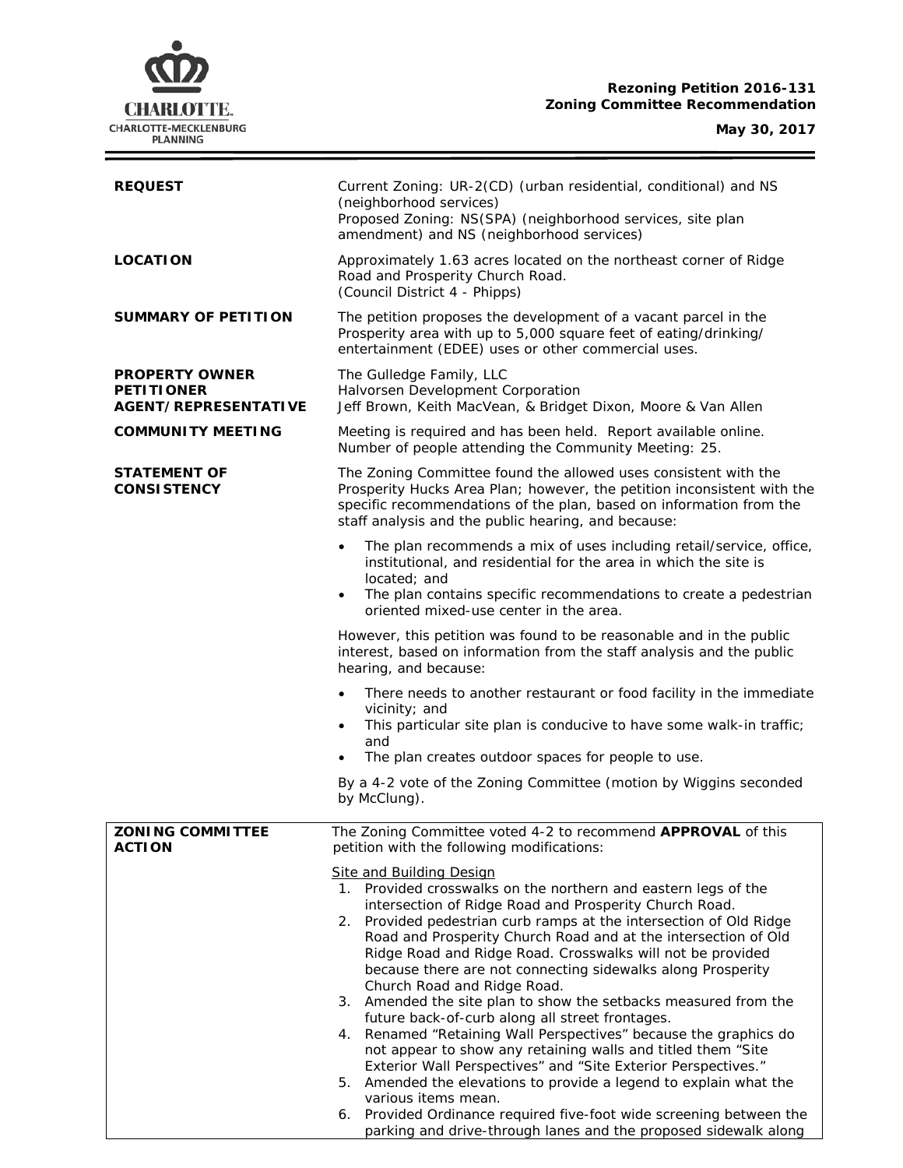# **CHARLOTTE.** CHARLOTTE-MECKLENBURG<br>PLANNING

ł,

| <b>REQUEST</b>                                                            | Current Zoning: UR-2(CD) (urban residential, conditional) and NS<br>(neighborhood services)<br>Proposed Zoning: NS(SPA) (neighborhood services, site plan<br>amendment) and NS (neighborhood services)                                                                                                                                                                                                                                                                                                                                                                                                                                                                                                                                                                                                                                                                                                                                                                                                                    |  |
|---------------------------------------------------------------------------|---------------------------------------------------------------------------------------------------------------------------------------------------------------------------------------------------------------------------------------------------------------------------------------------------------------------------------------------------------------------------------------------------------------------------------------------------------------------------------------------------------------------------------------------------------------------------------------------------------------------------------------------------------------------------------------------------------------------------------------------------------------------------------------------------------------------------------------------------------------------------------------------------------------------------------------------------------------------------------------------------------------------------|--|
| <b>LOCATION</b>                                                           | Approximately 1.63 acres located on the northeast corner of Ridge<br>Road and Prosperity Church Road.<br>(Council District 4 - Phipps)                                                                                                                                                                                                                                                                                                                                                                                                                                                                                                                                                                                                                                                                                                                                                                                                                                                                                    |  |
| <b>SUMMARY OF PETITION</b>                                                | The petition proposes the development of a vacant parcel in the<br>Prosperity area with up to 5,000 square feet of eating/drinking/<br>entertainment (EDEE) uses or other commercial uses.                                                                                                                                                                                                                                                                                                                                                                                                                                                                                                                                                                                                                                                                                                                                                                                                                                |  |
| <b>PROPERTY OWNER</b><br><b>PETITIONER</b><br><b>AGENT/REPRESENTATIVE</b> | The Gulledge Family, LLC<br>Halvorsen Development Corporation<br>Jeff Brown, Keith MacVean, & Bridget Dixon, Moore & Van Allen                                                                                                                                                                                                                                                                                                                                                                                                                                                                                                                                                                                                                                                                                                                                                                                                                                                                                            |  |
| <b>COMMUNITY MEETING</b>                                                  | Meeting is required and has been held. Report available online.<br>Number of people attending the Community Meeting: 25.                                                                                                                                                                                                                                                                                                                                                                                                                                                                                                                                                                                                                                                                                                                                                                                                                                                                                                  |  |
| <b>STATEMENT OF</b><br><b>CONSISTENCY</b>                                 | The Zoning Committee found the allowed uses consistent with the<br>Prosperity Hucks Area Plan; however, the petition inconsistent with the<br>specific recommendations of the plan, based on information from the<br>staff analysis and the public hearing, and because:                                                                                                                                                                                                                                                                                                                                                                                                                                                                                                                                                                                                                                                                                                                                                  |  |
|                                                                           | The plan recommends a mix of uses including retail/service, office,<br>institutional, and residential for the area in which the site is<br>located; and<br>The plan contains specific recommendations to create a pedestrian<br>$\bullet$<br>oriented mixed-use center in the area.                                                                                                                                                                                                                                                                                                                                                                                                                                                                                                                                                                                                                                                                                                                                       |  |
|                                                                           | However, this petition was found to be reasonable and in the public<br>interest, based on information from the staff analysis and the public<br>hearing, and because:                                                                                                                                                                                                                                                                                                                                                                                                                                                                                                                                                                                                                                                                                                                                                                                                                                                     |  |
|                                                                           | There needs to another restaurant or food facility in the immediate<br>vicinity; and<br>This particular site plan is conducive to have some walk-in traffic;<br>$\bullet$<br>and<br>The plan creates outdoor spaces for people to use.                                                                                                                                                                                                                                                                                                                                                                                                                                                                                                                                                                                                                                                                                                                                                                                    |  |
|                                                                           | By a 4-2 vote of the Zoning Committee (motion by Wiggins seconded<br>by McClung).                                                                                                                                                                                                                                                                                                                                                                                                                                                                                                                                                                                                                                                                                                                                                                                                                                                                                                                                         |  |
| <b>ZONING COMMITTEE</b><br><b>ACTION</b>                                  | The Zoning Committee voted 4-2 to recommend APPROVAL of this<br>petition with the following modifications:                                                                                                                                                                                                                                                                                                                                                                                                                                                                                                                                                                                                                                                                                                                                                                                                                                                                                                                |  |
|                                                                           | Site and Building Design<br>1. Provided crosswalks on the northern and eastern legs of the<br>intersection of Ridge Road and Prosperity Church Road.<br>2. Provided pedestrian curb ramps at the intersection of Old Ridge<br>Road and Prosperity Church Road and at the intersection of Old<br>Ridge Road and Ridge Road. Crosswalks will not be provided<br>because there are not connecting sidewalks along Prosperity<br>Church Road and Ridge Road.<br>3. Amended the site plan to show the setbacks measured from the<br>future back-of-curb along all street frontages.<br>4. Renamed "Retaining Wall Perspectives" because the graphics do<br>not appear to show any retaining walls and titled them "Site<br>Exterior Wall Perspectives" and "Site Exterior Perspectives."<br>5. Amended the elevations to provide a legend to explain what the<br>various items mean.<br>6. Provided Ordinance required five-foot wide screening between the<br>parking and drive-through lanes and the proposed sidewalk along |  |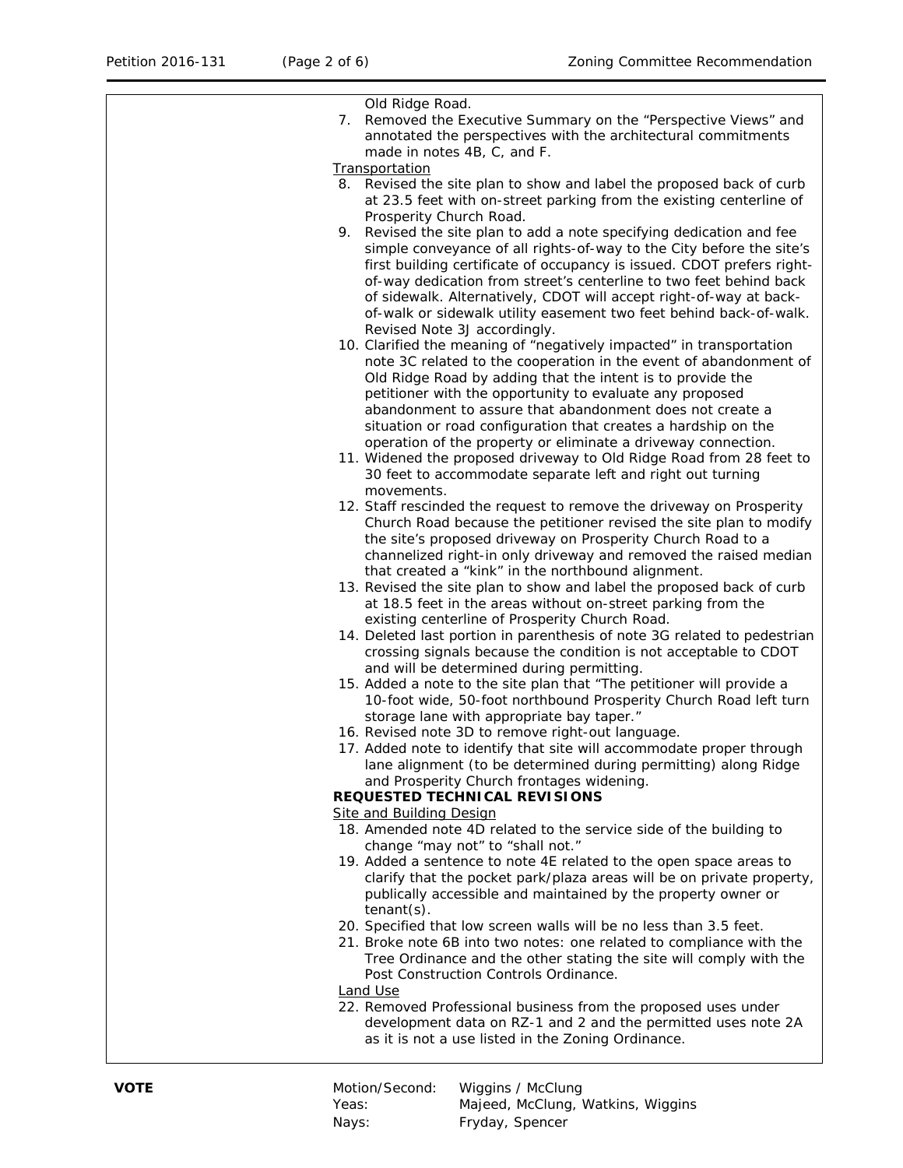| Old Ridge Road.                                                          |
|--------------------------------------------------------------------------|
| 7. Removed the Executive Summary on the "Perspective Views" and          |
| annotated the perspectives with the architectural commitments            |
| made in notes 4B, C, and F.                                              |
| Transportation                                                           |
| 8. Revised the site plan to show and label the proposed back of curb     |
| at 23.5 feet with on-street parking from the existing centerline of      |
| Prosperity Church Road.                                                  |
| 9. Revised the site plan to add a note specifying dedication and fee     |
| simple conveyance of all rights-of-way to the City before the site's     |
|                                                                          |
| first building certificate of occupancy is issued. CDOT prefers right-   |
| of-way dedication from street's centerline to two feet behind back       |
| of sidewalk. Alternatively, CDOT will accept right-of-way at back-       |
| of-walk or sidewalk utility easement two feet behind back-of-walk.       |
| Revised Note 3J accordingly.                                             |
| 10. Clarified the meaning of "negatively impacted" in transportation     |
| note 3C related to the cooperation in the event of abandonment of        |
| Old Ridge Road by adding that the intent is to provide the               |
| petitioner with the opportunity to evaluate any proposed                 |
| abandonment to assure that abandonment does not create a                 |
| situation or road configuration that creates a hardship on the           |
| operation of the property or eliminate a driveway connection.            |
| 11. Widened the proposed driveway to Old Ridge Road from 28 feet to      |
| 30 feet to accommodate separate left and right out turning               |
| movements.                                                               |
| 12. Staff rescinded the request to remove the driveway on Prosperity     |
| Church Road because the petitioner revised the site plan to modify       |
| the site's proposed driveway on Prosperity Church Road to a              |
| channelized right-in only driveway and removed the raised median         |
| that created a "kink" in the northbound alignment.                       |
| 13. Revised the site plan to show and label the proposed back of curb    |
| at 18.5 feet in the areas without on-street parking from the             |
| existing centerline of Prosperity Church Road.                           |
| 14. Deleted last portion in parenthesis of note 3G related to pedestrian |
| crossing signals because the condition is not acceptable to CDOT         |
| and will be determined during permitting.                                |
| 15. Added a note to the site plan that "The petitioner will provide a    |
| 10-foot wide, 50-foot northbound Prosperity Church Road left turn        |
| storage lane with appropriate bay taper."                                |
| 16. Revised note 3D to remove right-out language.                        |
| 17. Added note to identify that site will accommodate proper through     |
| lane alignment (to be determined during permitting) along Ridge          |
| and Prosperity Church frontages widening.                                |
| REQUESTED TECHNICAL REVISIONS                                            |
| <b>Site and Building Design</b>                                          |
| 18. Amended note 4D related to the service side of the building to       |
| change "may not" to "shall not."                                         |
| 19. Added a sentence to note 4E related to the open space areas to       |
| clarify that the pocket park/plaza areas will be on private property,    |
| publically accessible and maintained by the property owner or            |
| $t$ enant $(s)$ .                                                        |
| 20. Specified that low screen walls will be no less than 3.5 feet.       |
| 21. Broke note 6B into two notes: one related to compliance with the     |
| Tree Ordinance and the other stating the site will comply with the       |
| Post Construction Controls Ordinance.                                    |
| <b>Land Use</b>                                                          |
| 22. Removed Professional business from the proposed uses under           |
| development data on RZ-1 and 2 and the permitted uses note 2A            |
| as it is not a use listed in the Zoning Ordinance.                       |
|                                                                          |

| VOTE | Motion/Second: | Wiggins / McClung                 |
|------|----------------|-----------------------------------|
|      | Yeas:          | Majeed, McClung, Watkins, Wiggins |
|      | Nays:          | Fryday, Spencer                   |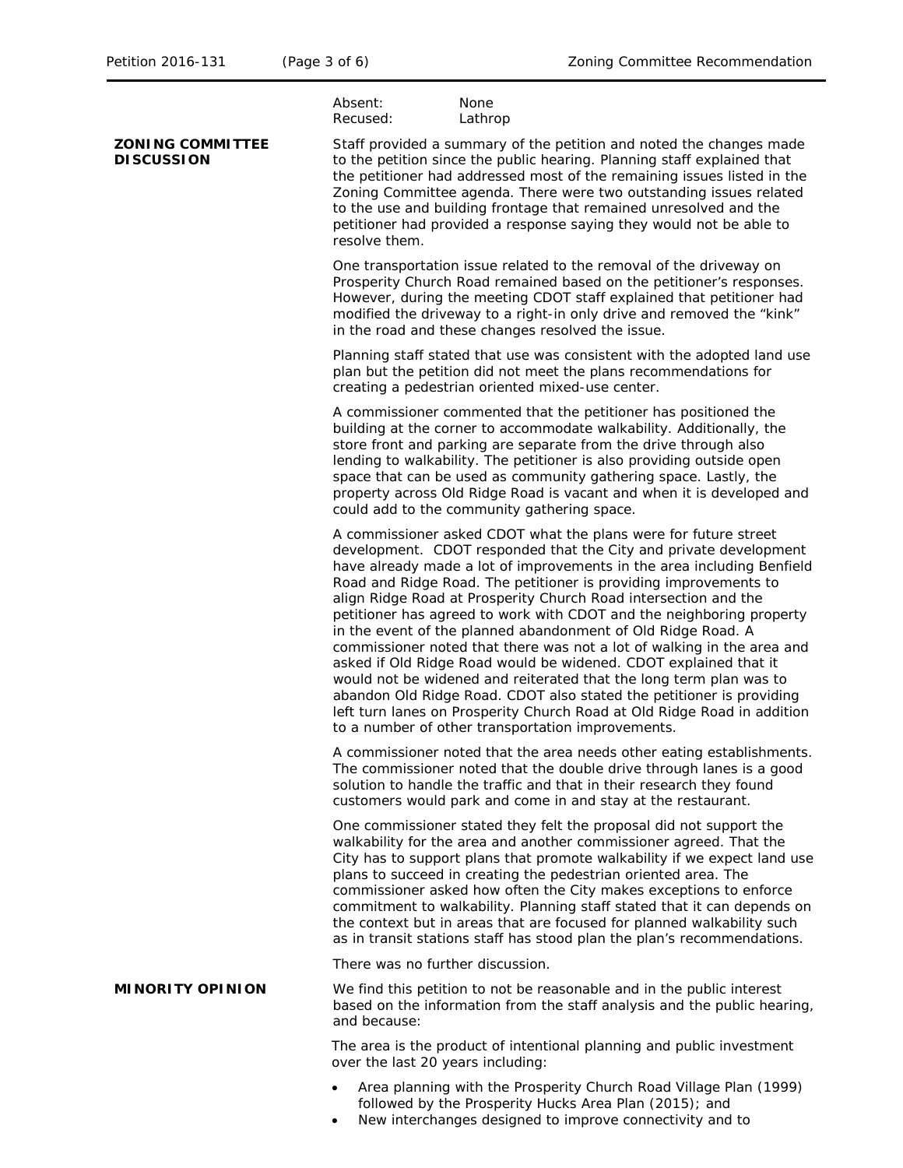|                                              | Absent:<br>None<br>Recused:<br>Lathrop                                                                                                                                                                                                                                                                                                                                                                                                                                                                                                                                                                                                                                                                                                                                                                                                                                                                                    |
|----------------------------------------------|---------------------------------------------------------------------------------------------------------------------------------------------------------------------------------------------------------------------------------------------------------------------------------------------------------------------------------------------------------------------------------------------------------------------------------------------------------------------------------------------------------------------------------------------------------------------------------------------------------------------------------------------------------------------------------------------------------------------------------------------------------------------------------------------------------------------------------------------------------------------------------------------------------------------------|
| <b>ZONING COMMITTEE</b><br><b>DISCUSSION</b> | Staff provided a summary of the petition and noted the changes made<br>to the petition since the public hearing. Planning staff explained that<br>the petitioner had addressed most of the remaining issues listed in the<br>Zoning Committee agenda. There were two outstanding issues related<br>to the use and building frontage that remained unresolved and the<br>petitioner had provided a response saying they would not be able to<br>resolve them.                                                                                                                                                                                                                                                                                                                                                                                                                                                              |
|                                              | One transportation issue related to the removal of the driveway on<br>Prosperity Church Road remained based on the petitioner's responses.<br>However, during the meeting CDOT staff explained that petitioner had<br>modified the driveway to a right-in only drive and removed the "kink"<br>in the road and these changes resolved the issue.                                                                                                                                                                                                                                                                                                                                                                                                                                                                                                                                                                          |
|                                              | Planning staff stated that use was consistent with the adopted land use<br>plan but the petition did not meet the plans recommendations for<br>creating a pedestrian oriented mixed-use center.                                                                                                                                                                                                                                                                                                                                                                                                                                                                                                                                                                                                                                                                                                                           |
|                                              | A commissioner commented that the petitioner has positioned the<br>building at the corner to accommodate walkability. Additionally, the<br>store front and parking are separate from the drive through also<br>lending to walkability. The petitioner is also providing outside open<br>space that can be used as community gathering space. Lastly, the<br>property across Old Ridge Road is vacant and when it is developed and<br>could add to the community gathering space.                                                                                                                                                                                                                                                                                                                                                                                                                                          |
|                                              | A commissioner asked CDOT what the plans were for future street<br>development. CDOT responded that the City and private development<br>have already made a lot of improvements in the area including Benfield<br>Road and Ridge Road. The petitioner is providing improvements to<br>align Ridge Road at Prosperity Church Road intersection and the<br>petitioner has agreed to work with CDOT and the neighboring property<br>in the event of the planned abandonment of Old Ridge Road. A<br>commissioner noted that there was not a lot of walking in the area and<br>asked if Old Ridge Road would be widened. CDOT explained that it<br>would not be widened and reiterated that the long term plan was to<br>abandon Old Ridge Road. CDOT also stated the petitioner is providing<br>left turn lanes on Prosperity Church Road at Old Ridge Road in addition<br>to a number of other transportation improvements. |
|                                              | A commissioner noted that the area needs other eating establishments.<br>The commissioner noted that the double drive through lanes is a good<br>solution to handle the traffic and that in their research they found<br>customers would park and come in and stay at the restaurant.                                                                                                                                                                                                                                                                                                                                                                                                                                                                                                                                                                                                                                     |
|                                              | One commissioner stated they felt the proposal did not support the<br>walkability for the area and another commissioner agreed. That the<br>City has to support plans that promote walkability if we expect land use<br>plans to succeed in creating the pedestrian oriented area. The<br>commissioner asked how often the City makes exceptions to enforce<br>commitment to walkability. Planning staff stated that it can depends on<br>the context but in areas that are focused for planned walkability such<br>as in transit stations staff has stood plan the plan's recommendations.                                                                                                                                                                                                                                                                                                                               |
|                                              | There was no further discussion.                                                                                                                                                                                                                                                                                                                                                                                                                                                                                                                                                                                                                                                                                                                                                                                                                                                                                          |
| <b>MINORITY OPINION</b>                      | We find this petition to not be reasonable and in the public interest<br>based on the information from the staff analysis and the public hearing,<br>and because:                                                                                                                                                                                                                                                                                                                                                                                                                                                                                                                                                                                                                                                                                                                                                         |
|                                              | The area is the product of intentional planning and public investment<br>over the last 20 years including:                                                                                                                                                                                                                                                                                                                                                                                                                                                                                                                                                                                                                                                                                                                                                                                                                |

- Area planning with the Prosperity Church Road Village Plan (1999) followed by the Prosperity Hucks Area Plan (2015); and
- New interchanges designed to improve connectivity and to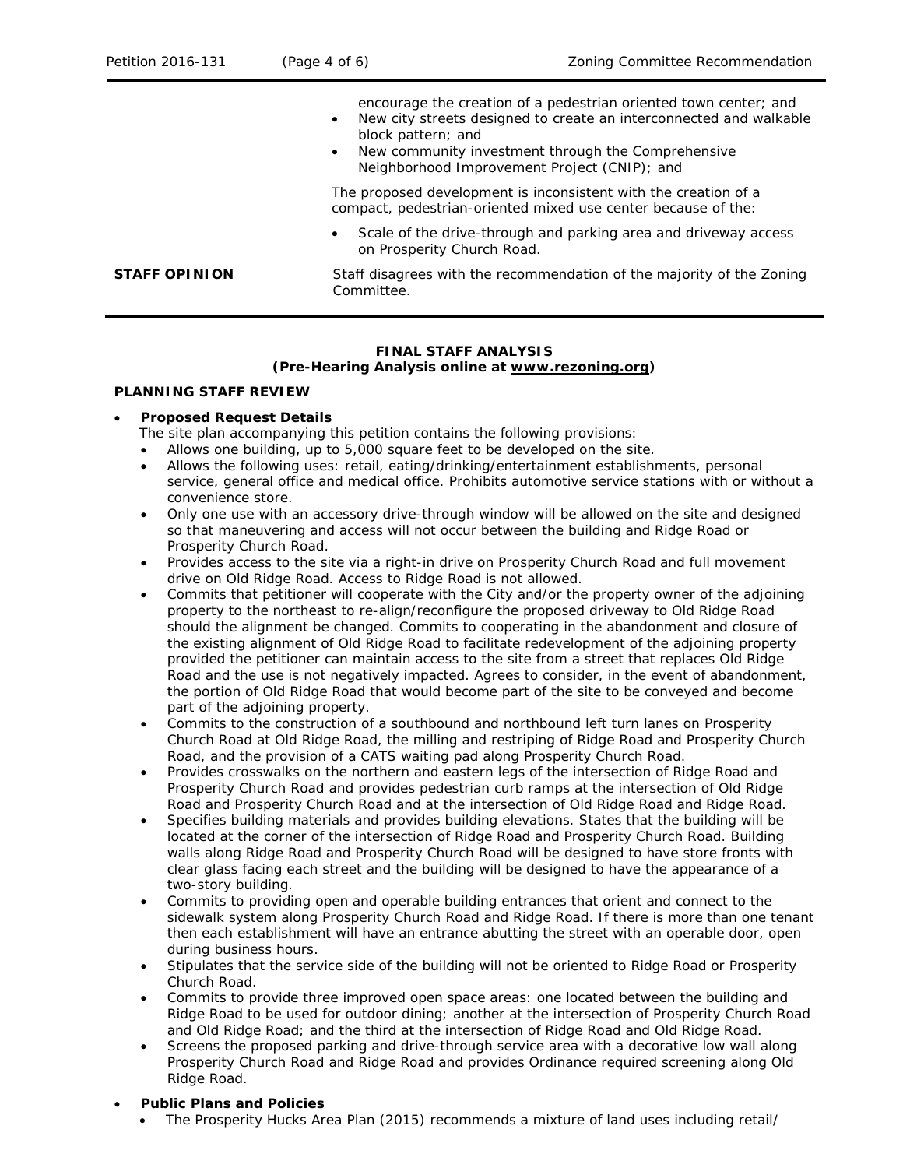|                      | encourage the creation of a pedestrian oriented town center; and<br>New city streets designed to create an interconnected and walkable<br>$\bullet$<br>block pattern; and<br>New community investment through the Comprehensive<br>$\bullet$<br>Neighborhood Improvement Project (CNIP); and |
|----------------------|----------------------------------------------------------------------------------------------------------------------------------------------------------------------------------------------------------------------------------------------------------------------------------------------|
|                      | The proposed development is inconsistent with the creation of a<br>compact, pedestrian-oriented mixed use center because of the:                                                                                                                                                             |
|                      | Scale of the drive-through and parking area and driveway access<br>$\bullet$<br>on Prosperity Church Road.                                                                                                                                                                                   |
| <b>STAFF OPINION</b> | Staff disagrees with the recommendation of the majority of the Zoning<br>Committee.                                                                                                                                                                                                          |

# **FINAL STAFF ANALYSIS**

#### **(Pre-Hearing Analysis online at [www.rezoning.org\)](http://www.rezoning.org/)**

#### **PLANNING STAFF REVIEW**

## • **Proposed Request Details**

- The site plan accompanying this petition contains the following provisions:
- Allows one building, up to 5,000 square feet to be developed on the site.
- Allows the following uses: retail, eating/drinking/entertainment establishments, personal service, general office and medical office. Prohibits automotive service stations with or without a convenience store.
- Only one use with an accessory drive-through window will be allowed on the site and designed so that maneuvering and access will not occur between the building and Ridge Road or Prosperity Church Road.
- Provides access to the site via a right-in drive on Prosperity Church Road and full movement drive on Old Ridge Road. Access to Ridge Road is not allowed.
- Commits that petitioner will cooperate with the City and/or the property owner of the adjoining property to the northeast to re-align/reconfigure the proposed driveway to Old Ridge Road should the alignment be changed. Commits to cooperating in the abandonment and closure of the existing alignment of Old Ridge Road to facilitate redevelopment of the adjoining property provided the petitioner can maintain access to the site from a street that replaces Old Ridge Road and the use is not negatively impacted. Agrees to consider, in the event of abandonment, the portion of Old Ridge Road that would become part of the site to be conveyed and become part of the adjoining property.
- Commits to the construction of a southbound and northbound left turn lanes on Prosperity Church Road at Old Ridge Road, the milling and restriping of Ridge Road and Prosperity Church Road, and the provision of a CATS waiting pad along Prosperity Church Road.
- Provides crosswalks on the northern and eastern legs of the intersection of Ridge Road and Prosperity Church Road and provides pedestrian curb ramps at the intersection of Old Ridge Road and Prosperity Church Road and at the intersection of Old Ridge Road and Ridge Road.
- Specifies building materials and provides building elevations. States that the building will be located at the corner of the intersection of Ridge Road and Prosperity Church Road. Building walls along Ridge Road and Prosperity Church Road will be designed to have store fronts with clear glass facing each street and the building will be designed to have the appearance of a two-story building.
- Commits to providing open and operable building entrances that orient and connect to the sidewalk system along Prosperity Church Road and Ridge Road. If there is more than one tenant then each establishment will have an entrance abutting the street with an operable door, open during business hours.
- Stipulates that the service side of the building will not be oriented to Ridge Road or Prosperity Church Road.
- Commits to provide three improved open space areas: one located between the building and Ridge Road to be used for outdoor dining; another at the intersection of Prosperity Church Road and Old Ridge Road; and the third at the intersection of Ridge Road and Old Ridge Road.
- Screens the proposed parking and drive-through service area with a decorative low wall along Prosperity Church Road and Ridge Road and provides Ordinance required screening along Old Ridge Road.

## • **Public Plans and Policies**

• The *Prosperity Hucks Area Plan* (2015) recommends a mixture of land uses including retail/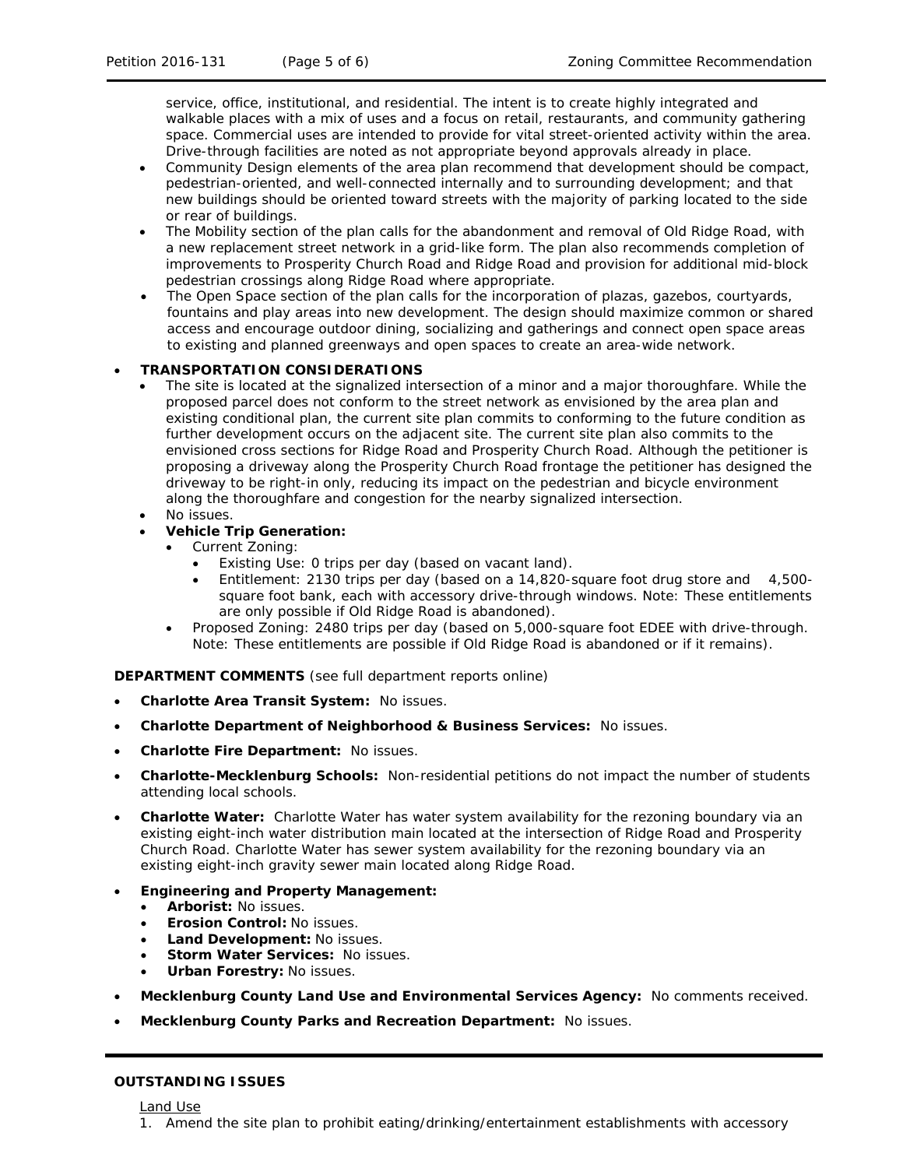service, office, institutional, and residential. The intent is to create highly integrated and walkable places with a mix of uses and a focus on retail, restaurants, and community gathering space. Commercial uses are intended to provide for vital street-oriented activity within the area. Drive-through facilities are noted as not appropriate beyond approvals already in place.

- Community Design elements of the area plan recommend that development should be compact, pedestrian-oriented, and well-connected internally and to surrounding development; and that new buildings should be oriented toward streets with the majority of parking located to the side or rear of buildings.
- The Mobility section of the plan calls for the abandonment and removal of Old Ridge Road, with a new replacement street network in a grid-like form. The plan also recommends completion of improvements to Prosperity Church Road and Ridge Road and provision for additional mid-block pedestrian crossings along Ridge Road where appropriate.
- The Open Space section of the plan calls for the incorporation of plazas, gazebos, courtyards, fountains and play areas into new development. The design should maximize common or shared access and encourage outdoor dining, socializing and gatherings and connect open space areas to existing and planned greenways and open spaces to create an area-wide network.

#### • **TRANSPORTATION CONSIDERATIONS**

- The site is located at the signalized intersection of a minor and a major thoroughfare. While the proposed parcel does not conform to the street network as envisioned by the area plan and existing conditional plan, the current site plan commits to conforming to the future condition as further development occurs on the adjacent site. The current site plan also commits to the envisioned cross sections for Ridge Road and Prosperity Church Road. Although the petitioner is proposing a driveway along the Prosperity Church Road frontage the petitioner has designed the driveway to be right-in only, reducing its impact on the pedestrian and bicycle environment along the thoroughfare and congestion for the nearby signalized intersection.
- No issues.
- **Vehicle Trip Generation:**
	- Current Zoning:
		- Existing Use: 0 trips per day (based on vacant land).
		- Entitlement: 2130 trips per day (based on a 14,820-square foot drug store and 4,500 square foot bank, each with accessory drive-through windows. Note: These entitlements are only possible if Old Ridge Road is abandoned).
	- Proposed Zoning: 2480 trips per day (based on 5,000-square foot EDEE with drive-through. Note: These entitlements are possible if Old Ridge Road is abandoned or if it remains).

**DEPARTMENT COMMENTS** (see full department reports online)

- **Charlotte Area Transit System:** No issues.
- **Charlotte Department of Neighborhood & Business Services:** No issues.
- **Charlotte Fire Department:** No issues.
- **Charlotte-Mecklenburg Schools:** Non-residential petitions do not impact the number of students attending local schools.
- **Charlotte Water:** Charlotte Water has water system availability for the rezoning boundary via an existing eight-inch water distribution main located at the intersection of Ridge Road and Prosperity Church Road. Charlotte Water has sewer system availability for the rezoning boundary via an existing eight-inch gravity sewer main located along Ridge Road.
- **Engineering and Property Management:**
	- **Arborist:** No issues.
	- **Erosion Control:** No issues.
	- **Land Development:** No issues.
	- **Storm Water Services:** No issues.
	- **Urban Forestry:** No issues.
- **Mecklenburg County Land Use and Environmental Services Agency:** No comments received.
- **Mecklenburg County Parks and Recreation Department:** No issues.

#### **OUTSTANDING ISSUES**

Land Use

1. Amend the site plan to prohibit eating/drinking/entertainment establishments with accessory